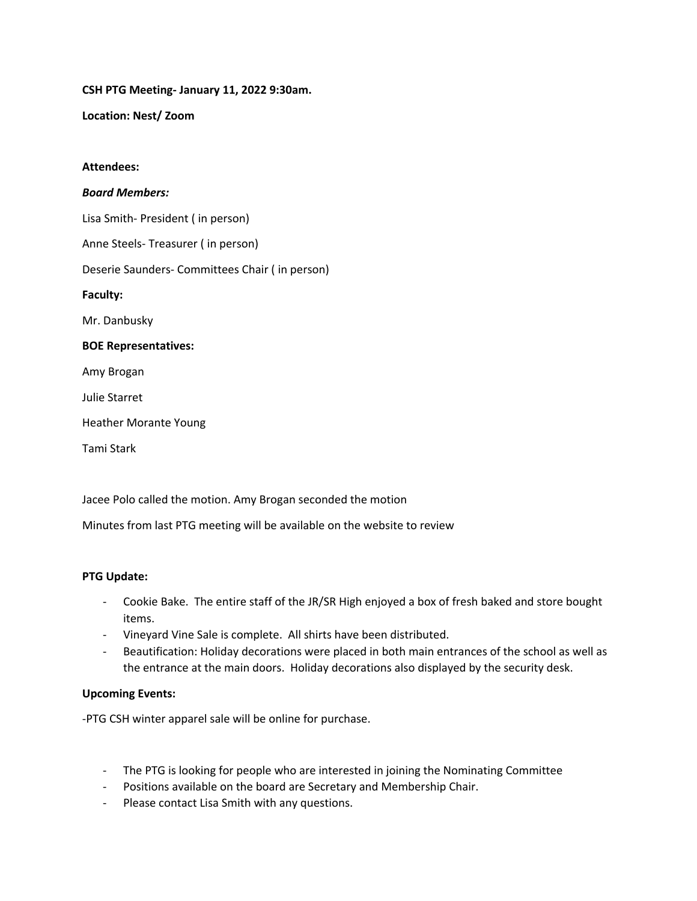### **CSH PTG Meeting- January 11, 2022 9:30am.**

**Location: Nest/ Zoom**

#### **Attendees:**

#### *Board Members:*

Lisa Smith- President ( in person) Anne Steels- Treasurer ( in person) Deserie Saunders- Committees Chair ( in person) **Faculty:** Mr. Danbusky **BOE Representatives:** Amy Brogan Julie Starret Heather Morante Young

Jacee Polo called the motion. Amy Brogan seconded the motion

Minutes from last PTG meeting will be available on the website to review

## **PTG Update:**

Tami Stark

- Cookie Bake. The entire staff of the JR/SR High enjoyed a box of fresh baked and store bought items.
- Vineyard Vine Sale is complete. All shirts have been distributed.
- Beautification: Holiday decorations were placed in both main entrances of the school as well as the entrance at the main doors. Holiday decorations also displayed by the security desk.

## **Upcoming Events:**

-PTG CSH winter apparel sale will be online for purchase.

- The PTG is looking for people who are interested in joining the Nominating Committee
- Positions available on the board are Secretary and Membership Chair.
- Please contact Lisa Smith with any questions.